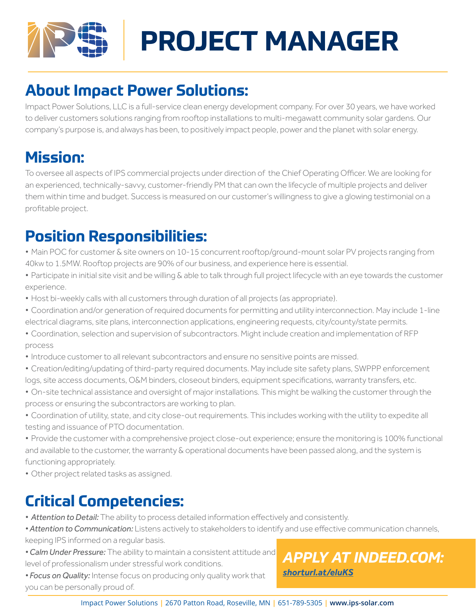

# **PROJECT MANAGER**

## **About Impact Power Solutions:**

Impact Power Solutions, LLC is a full-service clean energy development company. For over 30 years, we have worked to deliver customers solutions ranging from rooftop installations to multi-megawatt community solar gardens. Our company's purpose is, and always has been, to positively impact people, power and the planet with solar energy.

### **Mission:**

To oversee all aspects of IPS commercial projects under direction of the Chief Operating Officer. We are looking for an experienced, technically-savvy, customer-friendly PM that can own the lifecycle of multiple projects and deliver them within time and budget. Success is measured on our customer's willingness to give a glowing testimonial on a profitable project.

### **Position Responsibilities:**

- *•* Main POC for customer & site owners on 10-15 concurrent rooftop/ground-mount solar PV projects ranging from 40kw to 1.5MW. Rooftop projects are 90% of our business, and experience here is essential.
- Participate in initial site visit and be willing & able to talk through full project lifecycle with an eye towards the customer experience.
- Host bi-weekly calls with all customers through duration of all projects (as appropriate).
- *•* Coordination and/or generation of required documents for permitting and utility interconnection. May include 1-line electrical diagrams, site plans, interconnection applications, engineering requests, city/county/state permits.
- *•* Coordination, selection and supervision of subcontractors. Might include creation and implementation of RFP process
- Introduce customer to all relevant subcontractors and ensure no sensitive points are missed.
- *•* Creation/editing/updating of third-party required documents. May include site safety plans, SWPPP enforcement logs, site access documents, O&M binders, closeout binders, equipment specifications, warranty transfers, etc.
- *•* On-site technical assistance and oversight of major installations. This might be walking the customer through the process or ensuring the subcontractors are working to plan.
- *•* Coordination of utility, state, and city close-out requirements. This includes working with the utility to expedite all testing and issuance of PTO documentation.
- Provide the customer with a comprehensive project close-out experience; ensure the monitoring is 100% functional and available to the customer, the warranty & operational documents have been passed along, and the system is functioning appropriately.
- *•* Other project related tasks as assigned.

## **Critical Competencies:**

- *• Attention to Detail:* The ability to process detailed information effectively and consistently.
- *• Attention to Communication:* Listens actively to stakeholders to identify and use effective communication channels, keeping IPS informed on a regular basis.
- *• Calm Under Pressure:* The ability to maintain a consistent attitude and level of professionalism under stressful work conditions.

*• Focus on Quality:* Intense focus on producing only quality work that you can be personally proud of.

#### *[APPLY AT INDEED.COM:](https://www.indeed.com/viewjob?t=project+manager&jk=d687b5c8af459ed9&_ga=2.106859466.894843157.1641171087-650100089.1637007929) [shorturl.at/eluKS](https://www.indeed.com/viewjob?t=project+manager&jk=d687b5c8af459ed9&_ga=2.106859466.894843157.1641171087-650100089.1637007929)*